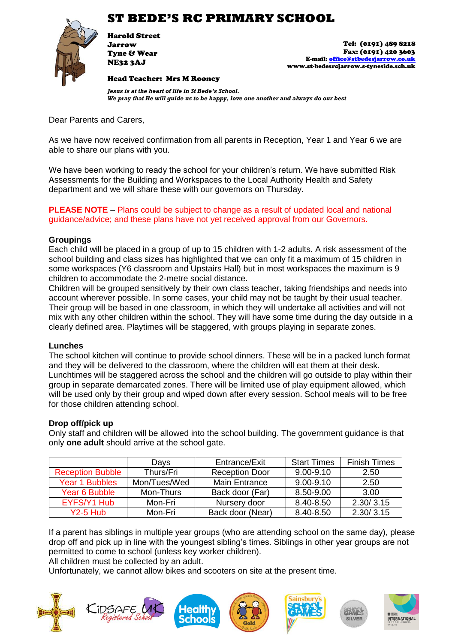

Harold Street Jarrow Tyne & Wear NE32 3AJ

Head Teacher: Mrs M Rooney

Tel: (0191) 489 8218 Fax: (0191) 420 3603 E-mail[: office@stbedesjarrow.co.uk](mailto:office@stbedesjarrow.co.uk) www.st-bedesrcjarrow.s-tyneside.sch.uk

*Jesus is at the heart of life in St Bede's School. We pray that He will guide us to be happy, love one another and always do our best*

Dear Parents and Carers,

As we have now received confirmation from all parents in Reception, Year 1 and Year 6 we are able to share our plans with you.

We have been working to ready the school for your children's return. We have submitted Risk Assessments for the Building and Workspaces to the Local Authority Health and Safety department and we will share these with our governors on Thursday.

**PLEASE NOTE** – Plans could be subject to change as a result of updated local and national guidance/advice; and these plans have not yet received approval from our Governors.

#### **Groupings**

Each child will be placed in a group of up to 15 children with 1-2 adults. A risk assessment of the school building and class sizes has highlighted that we can only fit a maximum of 15 children in some workspaces (Y6 classroom and Upstairs Hall) but in most workspaces the maximum is 9 children to accommodate the 2-metre social distance.

Children will be grouped sensitively by their own class teacher, taking friendships and needs into account wherever possible. In some cases, your child may not be taught by their usual teacher. Their group will be based in one classroom, in which they will undertake all activities and will not mix with any other children within the school. They will have some time during the day outside in a clearly defined area. Playtimes will be staggered, with groups playing in separate zones.

#### **Lunches**

The school kitchen will continue to provide school dinners. These will be in a packed lunch format and they will be delivered to the classroom, where the children will eat them at their desk. Lunchtimes will be staggered across the school and the children will go outside to play within their group in separate demarcated zones. There will be limited use of play equipment allowed, which will be used only by their group and wiped down after every session. School meals will to be free for those children attending school.

### **Drop off/pick up**

Only staff and children will be allowed into the school building. The government guidance is that only **one adult** should arrive at the school gate.

|                         | Days         | Entrance/Exit         | <b>Start Times</b> | <b>Finish Times</b> |
|-------------------------|--------------|-----------------------|--------------------|---------------------|
| <b>Reception Bubble</b> | Thurs/Fri    | <b>Reception Door</b> | $9.00 - 9.10$      | 2.50                |
| Year 1 Bubbles          | Mon/Tues/Wed | <b>Main Entrance</b>  | $9.00 - 9.10$      | 2.50                |
| Year 6 Bubble           | Mon-Thurs    | Back door (Far)       | 8.50-9.00          | 3.00                |
| EYFS/Y1 Hub             | Mon-Fri      | Nursery door          | 8.40-8.50          | 2.30/3.15           |
| $Y2-5$ Hub              | Mon-Fri      | Back door (Near)      | 8.40-8.50          | 2.30/3.15           |

If a parent has siblings in multiple year groups (who are attending school on the same day), please drop off and pick up in line with the youngest sibling's times. Siblings in other year groups are not permitted to come to school (unless key worker children).

All children must be collected by an adult.

Unfortunately, we cannot allow bikes and scooters on site at the present time.

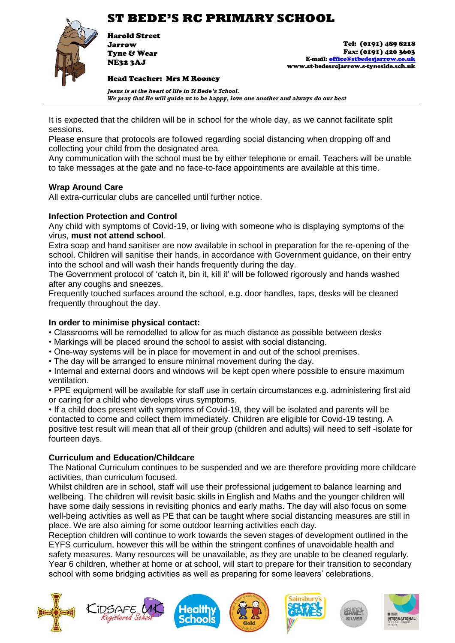

Harold Street Jarrow Tyne & Wear NE32 3AJ

Tel: (0191) 489 8218 Fax: (0191) 420 3603 E-mail[: office@stbedesjarrow.co.uk](mailto:office@stbedesjarrow.co.uk) www.st-bedesrcjarrow.s-tyneside.sch.uk

Head Teacher: Mrs M Rooney

*Jesus is at the heart of life in St Bede's School. We pray that He will guide us to be happy, love one another and always do our best*

It is expected that the children will be in school for the whole day, as we cannot facilitate split sessions.

Please ensure that protocols are followed regarding social distancing when dropping off and collecting your child from the designated area.

Any communication with the school must be by either telephone or email. Teachers will be unable to take messages at the gate and no face-to-face appointments are available at this time.

### **Wrap Around Care**

All extra-curricular clubs are cancelled until further notice.

### **Infection Protection and Control**

Any child with symptoms of Covid-19, or living with someone who is displaying symptoms of the virus, **must not attend school**.

Extra soap and hand sanitiser are now available in school in preparation for the re-opening of the school. Children will sanitise their hands, in accordance with Government guidance, on their entry into the school and will wash their hands frequently during the day.

The Government protocol of 'catch it, bin it, kill it' will be followed rigorously and hands washed after any coughs and sneezes.

Frequently touched surfaces around the school, e.g. door handles, taps, desks will be cleaned frequently throughout the day.

#### **In order to minimise physical contact:**

- Classrooms will be remodelled to allow for as much distance as possible between desks
- Markings will be placed around the school to assist with social distancing.
- One-way systems will be in place for movement in and out of the school premises.
- The day will be arranged to ensure minimal movement during the day.

• Internal and external doors and windows will be kept open where possible to ensure maximum ventilation.

• PPE equipment will be available for staff use in certain circumstances e.g. administering first aid or caring for a child who develops virus symptoms.

• If a child does present with symptoms of Covid-19, they will be isolated and parents will be contacted to come and collect them immediately. Children are eligible for Covid-19 testing. A positive test result will mean that all of their group (children and adults) will need to self -isolate for fourteen days.

### **Curriculum and Education/Childcare**

The National Curriculum continues to be suspended and we are therefore providing more childcare activities, than curriculum focused.

Whilst children are in school, staff will use their professional judgement to balance learning and wellbeing. The children will revisit basic skills in English and Maths and the younger children will have some daily sessions in revisiting phonics and early maths. The day will also focus on some well-being activities as well as PE that can be taught where social distancing measures are still in place. We are also aiming for some outdoor learning activities each day.

Reception children will continue to work towards the seven stages of development outlined in the EYFS curriculum, however this will be within the stringent confines of unavoidable health and safety measures. Many resources will be unavailable, as they are unable to be cleaned regularly. Year 6 children, whether at home or at school, will start to prepare for their transition to secondary school with some bridging activities as well as preparing for some leavers' celebrations.

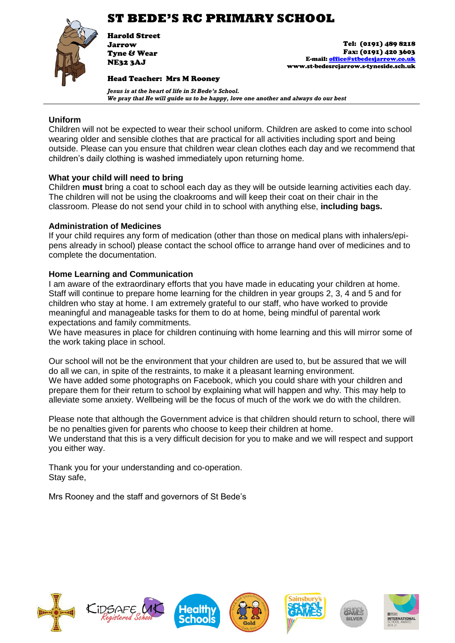

Harold Street Jarrow Tyne & Wear NE32 3AJ

Tel: (0191) 489 8218 Fax: (0191) 420 3603 E-mail[: office@stbedesjarrow.co.uk](mailto:office@stbedesjarrow.co.uk) www.st-bedesrcjarrow.s-tyneside.sch.uk

Head Teacher: Mrs M Rooney

*Jesus is at the heart of life in St Bede's School. We pray that He will guide us to be happy, love one another and always do our best*

## **Uniform**

Children will not be expected to wear their school uniform. Children are asked to come into school wearing older and sensible clothes that are practical for all activities including sport and being outside. Please can you ensure that children wear clean clothes each day and we recommend that children's daily clothing is washed immediately upon returning home.

## **What your child will need to bring**

Children **must** bring a coat to school each day as they will be outside learning activities each day. The children will not be using the cloakrooms and will keep their coat on their chair in the classroom. Please do not send your child in to school with anything else, **including bags.** 

### **Administration of Medicines**

If your child requires any form of medication (other than those on medical plans with inhalers/epipens already in school) please contact the school office to arrange hand over of medicines and to complete the documentation.

## **Home Learning and Communication**

I am aware of the extraordinary efforts that you have made in educating your children at home. Staff will continue to prepare home learning for the children in year groups 2, 3, 4 and 5 and for children who stay at home. I am extremely grateful to our staff, who have worked to provide meaningful and manageable tasks for them to do at home, being mindful of parental work expectations and family commitments.

We have measures in place for children continuing with home learning and this will mirror some of the work taking place in school.

Our school will not be the environment that your children are used to, but be assured that we will do all we can, in spite of the restraints, to make it a pleasant learning environment. We have added some photographs on Facebook, which you could share with your children and prepare them for their return to school by explaining what will happen and why. This may help to alleviate some anxiety. Wellbeing will be the focus of much of the work we do with the children.

Please note that although the Government advice is that children should return to school, there will be no penalties given for parents who choose to keep their children at home. We understand that this is a very difficult decision for you to make and we will respect and support you either way.

Thank you for your understanding and co-operation. Stay safe,

Mrs Rooney and the staff and governors of St Bede's